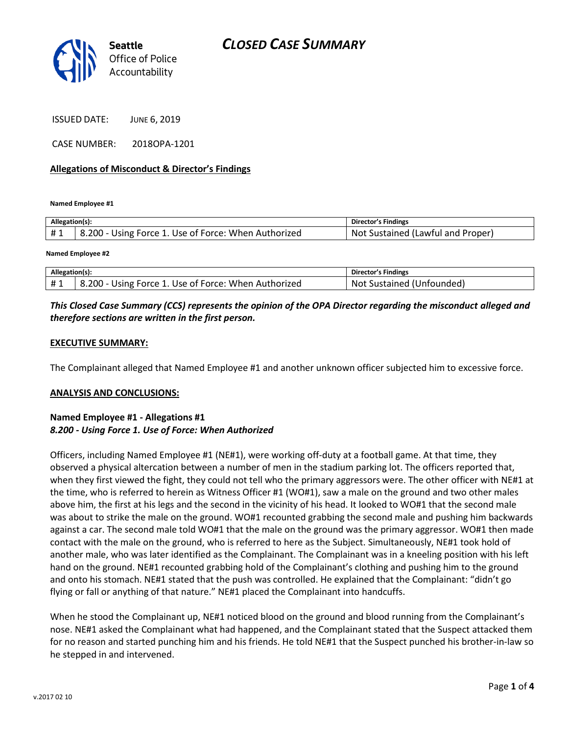

ISSUED DATE: JUNE 6, 2019

CASE NUMBER: 2018OPA-1201

### **Allegations of Misconduct & Director's Findings**

**Named Employee #1**

| Allegation(s): |                                                      | Director's Findings               |
|----------------|------------------------------------------------------|-----------------------------------|
| #1             | 8.200 - Using Force 1. Use of Force: When Authorized | Not Sustained (Lawful and Proper) |
|                |                                                      |                                   |

**Named Employee #2**

| Allegation(s): |                                                      | Director's Findings       |
|----------------|------------------------------------------------------|---------------------------|
| #1             | 8.200 - Using Force 1. Use of Force: When Authorized | Not Sustained (Unfounded) |

## *This Closed Case Summary (CCS) represents the opinion of the OPA Director regarding the misconduct alleged and therefore sections are written in the first person.*

#### **EXECUTIVE SUMMARY:**

The Complainant alleged that Named Employee #1 and another unknown officer subjected him to excessive force.

#### **ANALYSIS AND CONCLUSIONS:**

### **Named Employee #1 - Allegations #1** *8.200 - Using Force 1. Use of Force: When Authorized*

Officers, including Named Employee #1 (NE#1), were working off-duty at a football game. At that time, they observed a physical altercation between a number of men in the stadium parking lot. The officers reported that, when they first viewed the fight, they could not tell who the primary aggressors were. The other officer with NE#1 at the time, who is referred to herein as Witness Officer #1 (WO#1), saw a male on the ground and two other males above him, the first at his legs and the second in the vicinity of his head. It looked to WO#1 that the second male was about to strike the male on the ground. WO#1 recounted grabbing the second male and pushing him backwards against a car. The second male told WO#1 that the male on the ground was the primary aggressor. WO#1 then made contact with the male on the ground, who is referred to here as the Subject. Simultaneously, NE#1 took hold of another male, who was later identified as the Complainant. The Complainant was in a kneeling position with his left hand on the ground. NE#1 recounted grabbing hold of the Complainant's clothing and pushing him to the ground and onto his stomach. NE#1 stated that the push was controlled. He explained that the Complainant: "didn't go flying or fall or anything of that nature." NE#1 placed the Complainant into handcuffs.

When he stood the Complainant up, NE#1 noticed blood on the ground and blood running from the Complainant's nose. NE#1 asked the Complainant what had happened, and the Complainant stated that the Suspect attacked them for no reason and started punching him and his friends. He told NE#1 that the Suspect punched his brother-in-law so he stepped in and intervened.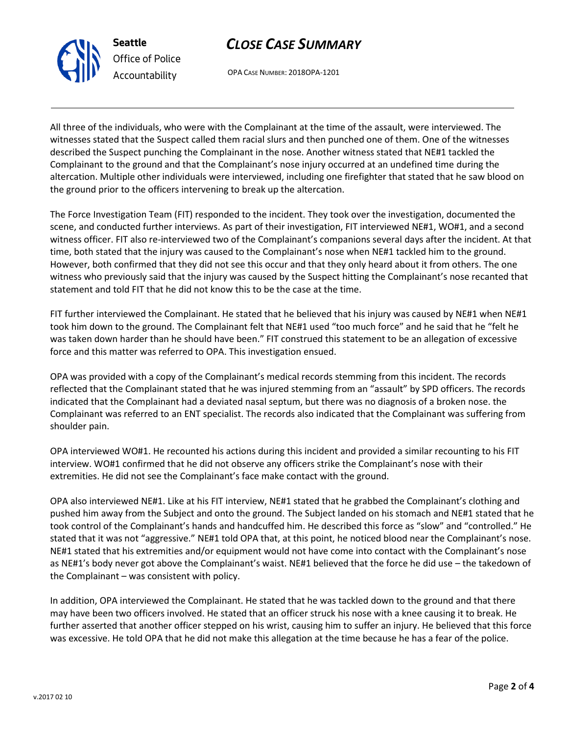

**Seattle** *Office of Police Accountability*

OPA CASE NUMBER: 2018OPA-1201

All three of the individuals, who were with the Complainant at the time of the assault, were interviewed. The witnesses stated that the Suspect called them racial slurs and then punched one of them. One of the witnesses described the Suspect punching the Complainant in the nose. Another witness stated that NE#1 tackled the Complainant to the ground and that the Complainant's nose injury occurred at an undefined time during the altercation. Multiple other individuals were interviewed, including one firefighter that stated that he saw blood on the ground prior to the officers intervening to break up the altercation.

The Force Investigation Team (FIT) responded to the incident. They took over the investigation, documented the scene, and conducted further interviews. As part of their investigation, FIT interviewed NE#1, WO#1, and a second witness officer. FIT also re-interviewed two of the Complainant's companions several days after the incident. At that time, both stated that the injury was caused to the Complainant's nose when NE#1 tackled him to the ground. However, both confirmed that they did not see this occur and that they only heard about it from others. The one witness who previously said that the injury was caused by the Suspect hitting the Complainant's nose recanted that statement and told FIT that he did not know this to be the case at the time.

FIT further interviewed the Complainant. He stated that he believed that his injury was caused by NE#1 when NE#1 took him down to the ground. The Complainant felt that NE#1 used "too much force" and he said that he "felt he was taken down harder than he should have been." FIT construed this statement to be an allegation of excessive force and this matter was referred to OPA. This investigation ensued.

OPA was provided with a copy of the Complainant's medical records stemming from this incident. The records reflected that the Complainant stated that he was injured stemming from an "assault" by SPD officers. The records indicated that the Complainant had a deviated nasal septum, but there was no diagnosis of a broken nose. the Complainant was referred to an ENT specialist. The records also indicated that the Complainant was suffering from shoulder pain.

OPA interviewed WO#1. He recounted his actions during this incident and provided a similar recounting to his FIT interview. WO#1 confirmed that he did not observe any officers strike the Complainant's nose with their extremities. He did not see the Complainant's face make contact with the ground.

OPA also interviewed NE#1. Like at his FIT interview, NE#1 stated that he grabbed the Complainant's clothing and pushed him away from the Subject and onto the ground. The Subject landed on his stomach and NE#1 stated that he took control of the Complainant's hands and handcuffed him. He described this force as "slow" and "controlled." He stated that it was not "aggressive." NE#1 told OPA that, at this point, he noticed blood near the Complainant's nose. NE#1 stated that his extremities and/or equipment would not have come into contact with the Complainant's nose as NE#1's body never got above the Complainant's waist. NE#1 believed that the force he did use – the takedown of the Complainant – was consistent with policy.

In addition, OPA interviewed the Complainant. He stated that he was tackled down to the ground and that there may have been two officers involved. He stated that an officer struck his nose with a knee causing it to break. He further asserted that another officer stepped on his wrist, causing him to suffer an injury. He believed that this force was excessive. He told OPA that he did not make this allegation at the time because he has a fear of the police.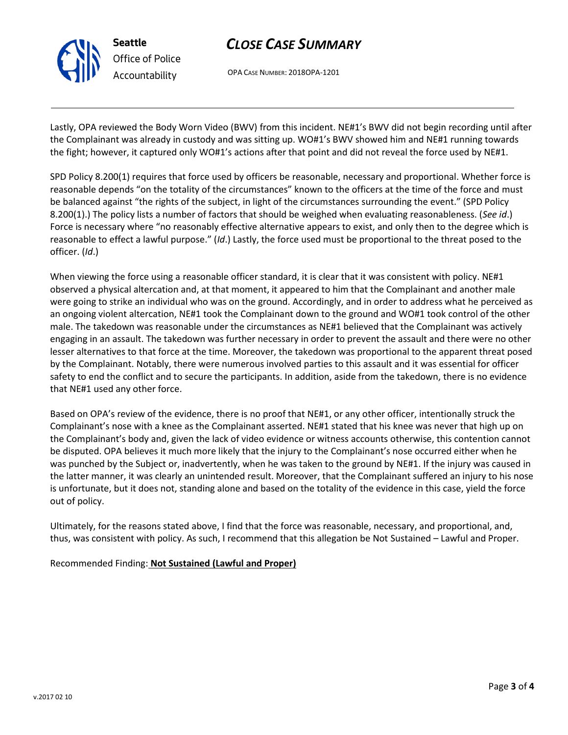

# *CLOSE CASE SUMMARY*

OPA CASE NUMBER: 2018OPA-1201

Lastly, OPA reviewed the Body Worn Video (BWV) from this incident. NE#1's BWV did not begin recording until after the Complainant was already in custody and was sitting up. WO#1's BWV showed him and NE#1 running towards the fight; however, it captured only WO#1's actions after that point and did not reveal the force used by NE#1.

SPD Policy 8.200(1) requires that force used by officers be reasonable, necessary and proportional. Whether force is reasonable depends "on the totality of the circumstances" known to the officers at the time of the force and must be balanced against "the rights of the subject, in light of the circumstances surrounding the event." (SPD Policy 8.200(1).) The policy lists a number of factors that should be weighed when evaluating reasonableness. (*See id*.) Force is necessary where "no reasonably effective alternative appears to exist, and only then to the degree which is reasonable to effect a lawful purpose." (*Id*.) Lastly, the force used must be proportional to the threat posed to the officer. (*Id*.)

When viewing the force using a reasonable officer standard, it is clear that it was consistent with policy. NE#1 observed a physical altercation and, at that moment, it appeared to him that the Complainant and another male were going to strike an individual who was on the ground. Accordingly, and in order to address what he perceived as an ongoing violent altercation, NE#1 took the Complainant down to the ground and WO#1 took control of the other male. The takedown was reasonable under the circumstances as NE#1 believed that the Complainant was actively engaging in an assault. The takedown was further necessary in order to prevent the assault and there were no other lesser alternatives to that force at the time. Moreover, the takedown was proportional to the apparent threat posed by the Complainant. Notably, there were numerous involved parties to this assault and it was essential for officer safety to end the conflict and to secure the participants. In addition, aside from the takedown, there is no evidence that NE#1 used any other force.

Based on OPA's review of the evidence, there is no proof that NE#1, or any other officer, intentionally struck the Complainant's nose with a knee as the Complainant asserted. NE#1 stated that his knee was never that high up on the Complainant's body and, given the lack of video evidence or witness accounts otherwise, this contention cannot be disputed. OPA believes it much more likely that the injury to the Complainant's nose occurred either when he was punched by the Subject or, inadvertently, when he was taken to the ground by NE#1. If the injury was caused in the latter manner, it was clearly an unintended result. Moreover, that the Complainant suffered an injury to his nose is unfortunate, but it does not, standing alone and based on the totality of the evidence in this case, yield the force out of policy.

Ultimately, for the reasons stated above, I find that the force was reasonable, necessary, and proportional, and, thus, was consistent with policy. As such, I recommend that this allegation be Not Sustained – Lawful and Proper.

## Recommended Finding: **Not Sustained (Lawful and Proper)**